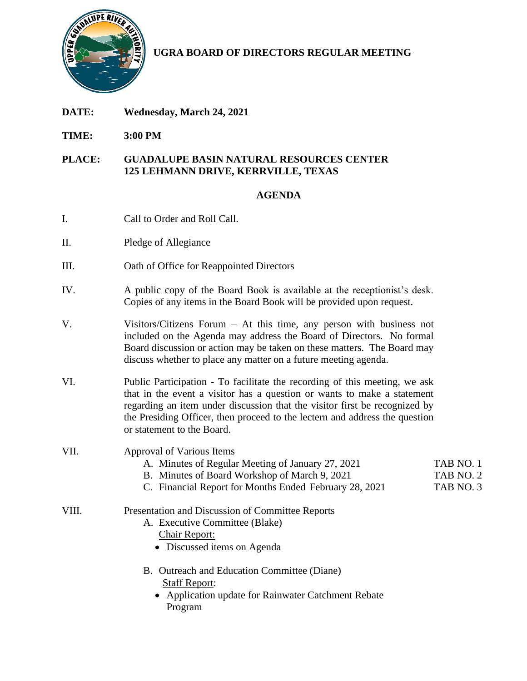

**UGRA BOARD OF DIRECTORS REGULAR MEETING**

- **DATE: Wednesday, March 24, 2021**
- **TIME: 3:00 PM**

## **PLACE: GUADALUPE BASIN NATURAL RESOURCES CENTER 125 LEHMANN DRIVE, KERRVILLE, TEXAS**

## **AGENDA**

- I. Call to Order and Roll Call.
- II. Pledge of Allegiance
- III. Oath of Office for Reappointed Directors
- IV. A public copy of the Board Book is available at the receptionist's desk. Copies of any items in the Board Book will be provided upon request.
- V. Visitors/Citizens Forum At this time, any person with business not included on the Agenda may address the Board of Directors. No formal Board discussion or action may be taken on these matters. The Board may discuss whether to place any matter on a future meeting agenda.
- VI. Public Participation To facilitate the recording of this meeting, we ask that in the event a visitor has a question or wants to make a statement regarding an item under discussion that the visitor first be recognized by the Presiding Officer, then proceed to the lectern and address the question or statement to the Board.
- VII. Approval of Various Items
	- A. Minutes of Regular Meeting of January 27, 2021 TAB NO. 1
	- B. Minutes of Board Workshop of March 9, 2021 TAB NO. 2
	- C. Financial Report for Months Ended February 28, 2021 TAB NO. 3

## VIII. Presentation and Discussion of Committee Reports

- A. Executive Committee (Blake) Chair Report:
	- Discussed items on Agenda
- B. Outreach and Education Committee (Diane) Staff Report:
	- Application update for Rainwater Catchment Rebate Program